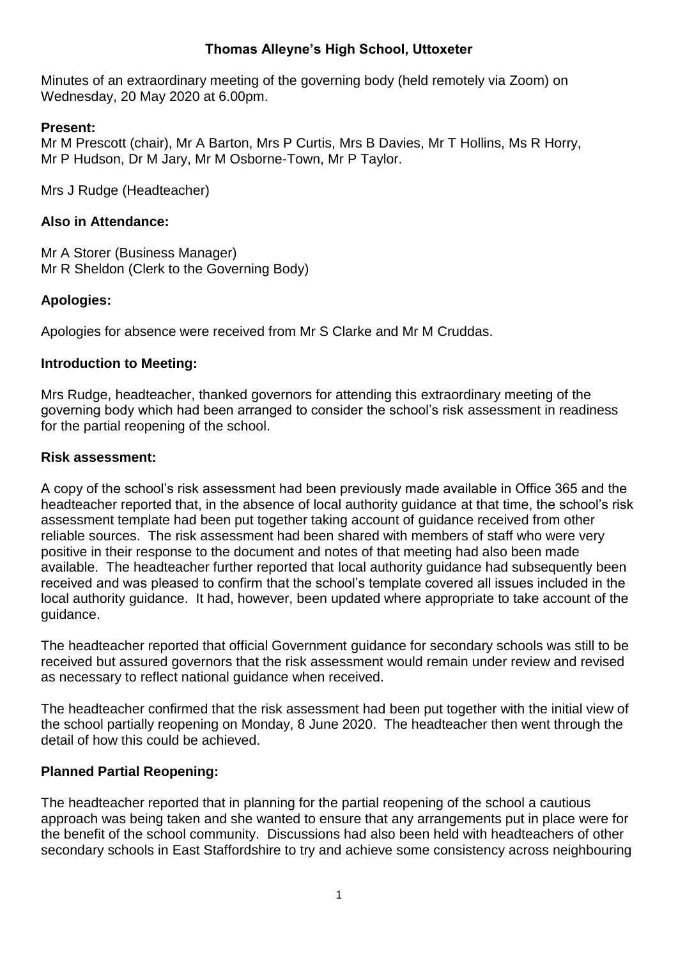# **Thomas Alleyne's High School, Uttoxeter**

Minutes of an extraordinary meeting of the governing body (held remotely via Zoom) on Wednesday, 20 May 2020 at 6.00pm.

#### **Present:**

Mr M Prescott (chair), Mr A Barton, Mrs P Curtis, Mrs B Davies, Mr T Hollins, Ms R Horry, Mr P Hudson, Dr M Jary, Mr M Osborne-Town, Mr P Taylor.

Mrs J Rudge (Headteacher)

### **Also in Attendance:**

Mr A Storer (Business Manager) Mr R Sheldon (Clerk to the Governing Body)

### **Apologies:**

Apologies for absence were received from Mr S Clarke and Mr M Cruddas.

### **Introduction to Meeting:**

Mrs Rudge, headteacher, thanked governors for attending this extraordinary meeting of the governing body which had been arranged to consider the school's risk assessment in readiness for the partial reopening of the school.

#### **Risk assessment:**

A copy of the school's risk assessment had been previously made available in Office 365 and the headteacher reported that, in the absence of local authority guidance at that time, the school's risk assessment template had been put together taking account of guidance received from other reliable sources. The risk assessment had been shared with members of staff who were very positive in their response to the document and notes of that meeting had also been made available. The headteacher further reported that local authority guidance had subsequently been received and was pleased to confirm that the school's template covered all issues included in the local authority guidance. It had, however, been updated where appropriate to take account of the guidance.

The headteacher reported that official Government guidance for secondary schools was still to be received but assured governors that the risk assessment would remain under review and revised as necessary to reflect national guidance when received.

The headteacher confirmed that the risk assessment had been put together with the initial view of the school partially reopening on Monday, 8 June 2020. The headteacher then went through the detail of how this could be achieved.

# **Planned Partial Reopening:**

The headteacher reported that in planning for the partial reopening of the school a cautious approach was being taken and she wanted to ensure that any arrangements put in place were for the benefit of the school community. Discussions had also been held with headteachers of other secondary schools in East Staffordshire to try and achieve some consistency across neighbouring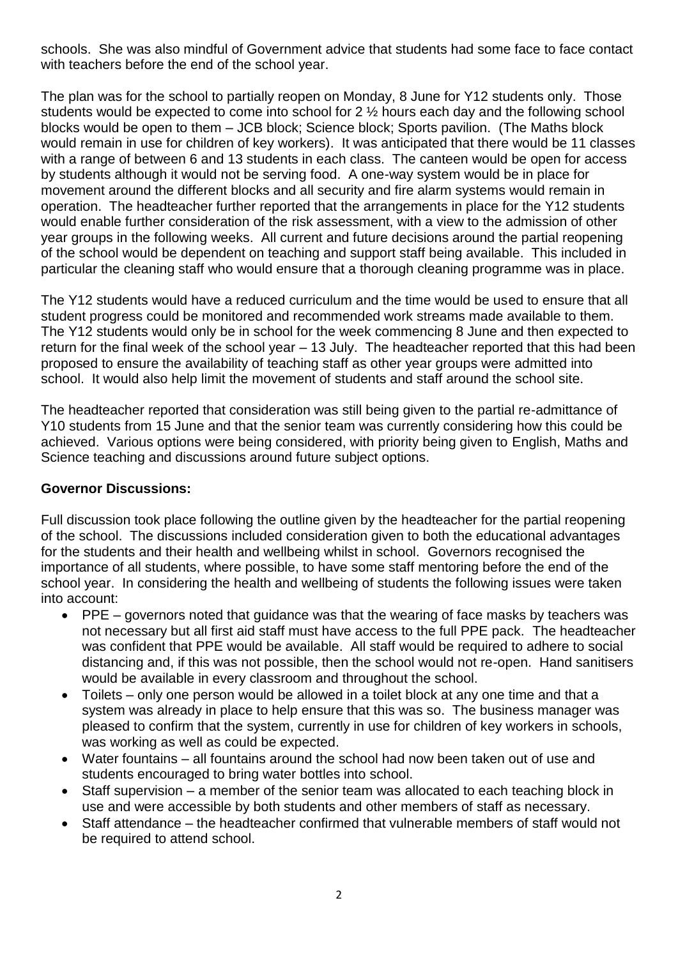schools. She was also mindful of Government advice that students had some face to face contact with teachers before the end of the school year.

The plan was for the school to partially reopen on Monday, 8 June for Y12 students only. Those students would be expected to come into school for 2 ½ hours each day and the following school blocks would be open to them – JCB block; Science block; Sports pavilion. (The Maths block would remain in use for children of key workers). It was anticipated that there would be 11 classes with a range of between 6 and 13 students in each class. The canteen would be open for access by students although it would not be serving food. A one-way system would be in place for movement around the different blocks and all security and fire alarm systems would remain in operation. The headteacher further reported that the arrangements in place for the Y12 students would enable further consideration of the risk assessment, with a view to the admission of other year groups in the following weeks. All current and future decisions around the partial reopening of the school would be dependent on teaching and support staff being available. This included in particular the cleaning staff who would ensure that a thorough cleaning programme was in place.

The Y12 students would have a reduced curriculum and the time would be used to ensure that all student progress could be monitored and recommended work streams made available to them. The Y12 students would only be in school for the week commencing 8 June and then expected to return for the final week of the school year – 13 July. The headteacher reported that this had been proposed to ensure the availability of teaching staff as other year groups were admitted into school. It would also help limit the movement of students and staff around the school site.

The headteacher reported that consideration was still being given to the partial re-admittance of Y10 students from 15 June and that the senior team was currently considering how this could be achieved. Various options were being considered, with priority being given to English, Maths and Science teaching and discussions around future subject options.

# **Governor Discussions:**

Full discussion took place following the outline given by the headteacher for the partial reopening of the school. The discussions included consideration given to both the educational advantages for the students and their health and wellbeing whilst in school. Governors recognised the importance of all students, where possible, to have some staff mentoring before the end of the school year. In considering the health and wellbeing of students the following issues were taken into account:

- PPE governors noted that guidance was that the wearing of face masks by teachers was not necessary but all first aid staff must have access to the full PPE pack. The headteacher was confident that PPE would be available. All staff would be required to adhere to social distancing and, if this was not possible, then the school would not re-open. Hand sanitisers would be available in every classroom and throughout the school.
- Toilets only one person would be allowed in a toilet block at any one time and that a system was already in place to help ensure that this was so. The business manager was pleased to confirm that the system, currently in use for children of key workers in schools, was working as well as could be expected.
- Water fountains all fountains around the school had now been taken out of use and students encouraged to bring water bottles into school.
- Staff supervision a member of the senior team was allocated to each teaching block in use and were accessible by both students and other members of staff as necessary.
- Staff attendance the headteacher confirmed that vulnerable members of staff would not be required to attend school.